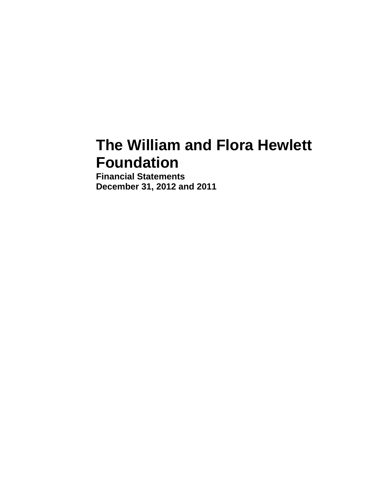# **The William and Flora Hewlett Foundation**

**Financial Statements December 31, 2012 and 2011**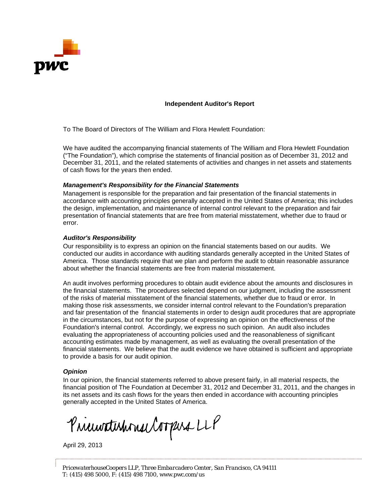

#### **Independent Auditor's Report**

To The Board of Directors of The William and Flora Hewlett Foundation:

We have audited the accompanying financial statements of The William and Flora Hewlett Foundation ("The Foundation"), which comprise the statements of financial position as of December 31, 2012 and December 31, 2011, and the related statements of activities and changes in net assets and statements of cash flows for the years then ended.

#### *Management's Responsibility for the Financial Statements*

Management is responsible for the preparation and fair presentation of the financial statements in accordance with accounting principles generally accepted in the United States of America; this includes the design, implementation, and maintenance of internal control relevant to the preparation and fair presentation of financial statements that are free from material misstatement, whether due to fraud or error.

#### *Auditor's Responsibility*

Our responsibility is to express an opinion on the financial statements based on our audits. We conducted our audits in accordance with auditing standards generally accepted in the United States of America. Those standards require that we plan and perform the audit to obtain reasonable assurance about whether the financial statements are free from material misstatement.

An audit involves performing procedures to obtain audit evidence about the amounts and disclosures in the financial statements. The procedures selected depend on our judgment, including the assessment of the risks of material misstatement of the financial statements, whether due to fraud or error. In making those risk assessments, we consider internal control relevant to the Foundation's preparation and fair presentation of the financial statements in order to design audit procedures that are appropriate in the circumstances, but not for the purpose of expressing an opinion on the effectiveness of the Foundation's internal control. Accordingly, we express no such opinion. An audit also includes evaluating the appropriateness of accounting policies used and the reasonableness of significant accounting estimates made by management, as well as evaluating the overall presentation of the financial statements. We believe that the audit evidence we have obtained is sufficient and appropriate to provide a basis for our audit opinion.

#### *Opinion*

In our opinion, the financial statements referred to above present fairly, in all material respects, the financial position of The Foundation at December 31, 2012 and December 31, 2011, and the changes in its net assets and its cash flows for the years then ended in accordance with accounting principles generally accepted in the United States of America.

Prierwaterhouse Compara LLP

April 29, 2013

*PricewaterhouseCoopers LLP, Three Embarcadero Center, San Francisco, CA 94111 T: (415) 498 5000, F: (415) 498 7100,* www.pwc.com/us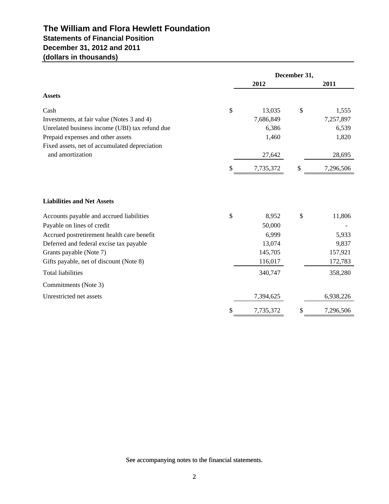# **The William and Flora Hewlett Foundation Statements of Financial Position December 31, 2012 and 2011 (dollars in thousands)**

|                                                |    |           | December 31, |           |
|------------------------------------------------|----|-----------|--------------|-----------|
|                                                |    | 2012      |              | 2011      |
| <b>Assets</b>                                  |    |           |              |           |
| Cash                                           | \$ | 13,035    | \$           | 1,555     |
| Investments, at fair value (Notes 3 and 4)     |    | 7,686,849 |              | 7,257,897 |
| Unrelated business income (UBI) tax refund due |    | 6,386     |              | 6,539     |
| Prepaid expenses and other assets              |    | 1,460     |              | 1,820     |
| Fixed assets, net of accumulated depreciation  |    |           |              |           |
| and amortization                               |    | 27,642    |              | 28,695    |
|                                                | S  | 7,735,372 | \$           | 7,296,506 |
|                                                |    |           |              |           |
| <b>Liabilities and Net Assets</b>              |    |           |              |           |
| Accounts payable and accrued liabilities       | \$ | 8,952     | \$           | 11,806    |
| Payable on lines of credit                     |    | 50,000    |              |           |
| Accrued postretirement health care benefit     |    | 6,999     |              | 5,933     |
| Deferred and federal excise tax payable        |    | 13,074    |              | 9,837     |
| Grants payable (Note 7)                        |    | 145,705   |              | 157,921   |
| Gifts payable, net of discount (Note 8)        |    | 116,017   |              | 172,783   |
| <b>Total liabilities</b>                       |    | 340,747   |              | 358,280   |
| Commitments (Note 3)                           |    |           |              |           |
| Unrestricted net assets                        |    | 7,394,625 |              | 6,938,226 |
|                                                | \$ | 7,735,372 | \$           | 7,296,506 |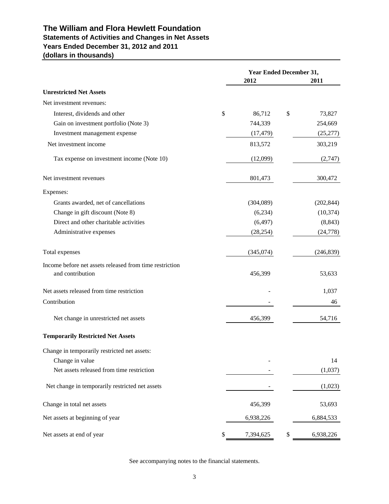## **The William and Flora Hewlett Foundation Statements of Activities and Changes in Net Assets Years Ended December 31, 2012 and 2011 (dollars in thousands)**

|                                                         | Year Ended December 31, |                 |
|---------------------------------------------------------|-------------------------|-----------------|
|                                                         | 2012                    | 2011            |
| <b>Unrestricted Net Assets</b>                          |                         |                 |
| Net investment revenues:                                |                         |                 |
| Interest, dividends and other                           | \$<br>86,712            | \$<br>73,827    |
| Gain on investment portfolio (Note 3)                   | 744,339                 | 254,669         |
| Investment management expense                           | (17, 479)               | (25, 277)       |
| Net investment income                                   | 813,572                 | 303,219         |
| Tax expense on investment income (Note 10)              | (12,099)                | (2,747)         |
| Net investment revenues                                 | 801,473                 | 300,472         |
| Expenses:                                               |                         |                 |
| Grants awarded, net of cancellations                    | (304,089)               | (202, 844)      |
| Change in gift discount (Note 8)                        | (6,234)                 | (10, 374)       |
| Direct and other charitable activities                  | (6, 497)                | (8, 843)        |
| Administrative expenses                                 | (28, 254)               | (24, 778)       |
| Total expenses                                          | (345,074)               | (246, 839)      |
| Income before net assets released from time restriction |                         |                 |
| and contribution                                        | 456,399                 | 53,633          |
| Net assets released from time restriction               |                         | 1,037           |
| Contribution                                            |                         | 46              |
| Net change in unrestricted net assets                   | 456,399                 | 54,716          |
| <b>Temporarily Restricted Net Assets</b>                |                         |                 |
| Change in temporarily restricted net assets:            |                         |                 |
| Change in value                                         |                         | 14              |
| Net assets released from time restriction               |                         | (1,037)         |
| Net change in temporarily restricted net assets         |                         | (1,023)         |
| Change in total net assets                              | 456,399                 | 53,693          |
| Net assets at beginning of year                         | 6,938,226               | 6,884,533       |
| Net assets at end of year                               | \$<br>7,394,625         | \$<br>6,938,226 |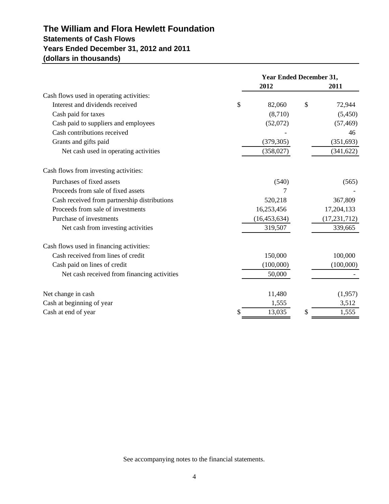# **Statements of Cash Flows Years Ended December 31, 2012 and 2011 (dollars in thousands) The William and Flora Hewlett Foundation**

|                                              | <b>Year Ended December 31,</b> |    |                |
|----------------------------------------------|--------------------------------|----|----------------|
|                                              | 2012                           |    | 2011           |
| Cash flows used in operating activities:     |                                |    |                |
| Interest and dividends received              | \$<br>82,060                   | \$ | 72,944         |
| Cash paid for taxes                          | (8,710)                        |    | (5,450)        |
| Cash paid to suppliers and employees         | (52,072)                       |    | (57, 469)      |
| Cash contributions received                  |                                |    | 46             |
| Grants and gifts paid                        | (379, 305)                     |    | (351, 693)     |
| Net cash used in operating activities        | (358, 027)                     |    | (341, 622)     |
| Cash flows from investing activities:        |                                |    |                |
| Purchases of fixed assets                    | (540)                          |    | (565)          |
| Proceeds from sale of fixed assets           | 7                              |    |                |
| Cash received from partnership distributions | 520,218                        |    | 367,809        |
| Proceeds from sale of investments            | 16,253,456                     |    | 17,204,133     |
| Purchase of investments                      | (16, 453, 634)                 |    | (17, 231, 712) |
| Net cash from investing activities           | 319,507                        |    | 339,665        |
| Cash flows used in financing activities:     |                                |    |                |
| Cash received from lines of credit           | 150,000                        |    | 100,000        |
| Cash paid on lines of credit                 | (100,000)                      |    | (100,000)      |
| Net cash received from financing activities  | 50,000                         |    |                |
| Net change in cash                           | 11,480                         |    | (1,957)        |
| Cash at beginning of year                    | 1,555                          |    | 3,512          |
| Cash at end of year                          | 13,035                         | S  | 1,555          |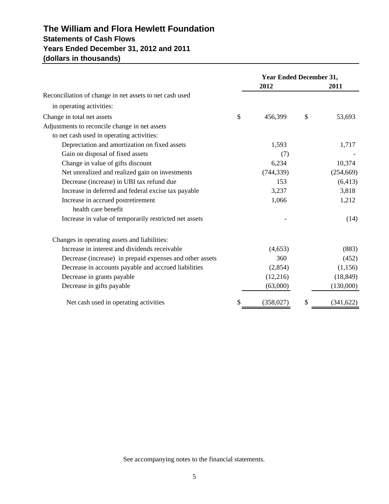# **Statements of Cash Flows Years Ended December 31, 2012 and 2011 (dollars in thousands) The William and Flora Hewlett Foundation**

|                                                          | <b>Year Ended December 31,</b> |                  |
|----------------------------------------------------------|--------------------------------|------------------|
|                                                          | 2012                           | 2011             |
| Reconciliation of change in net assets to net cash used  |                                |                  |
| in operating activities:                                 |                                |                  |
| Change in total net assets                               | \$<br>456,399                  | \$<br>53,693     |
| Adjustments to reconcile change in net assets            |                                |                  |
| to net cash used in operating activities:                |                                |                  |
| Depreciation and amortization on fixed assets            | 1,593                          | 1,717            |
| Gain on disposal of fixed assets                         | (7)                            |                  |
| Change in value of gifts discount                        | 6,234                          | 10,374           |
| Net unrealized and realized gain on investments          | (744, 339)                     | (254, 669)       |
| Decrease (increase) in UBI tax refund due                | 153                            | (6, 413)         |
| Increase in deferred and federal excise tax payable      | 3,237                          | 3,818            |
| Increase in accrued postretirement                       | 1,066                          | 1,212            |
| health care benefit                                      |                                |                  |
| Increase in value of temporarily restricted net assets   |                                | (14)             |
| Changes in operating assets and liabilities:             |                                |                  |
| Increase in interest and dividends receivable            | (4,653)                        | (883)            |
| Decrease (increase) in prepaid expenses and other assets | 360                            | (452)            |
| Decrease in accounts payable and accrued liabilities     | (2,854)                        | (1, 156)         |
| Decrease in grants payable                               | (12,216)                       | (18, 849)        |
| Decrease in gifts payable                                | (63,000)                       | (130,000)        |
| Net cash used in operating activities                    | (358, 027)                     | \$<br>(341, 622) |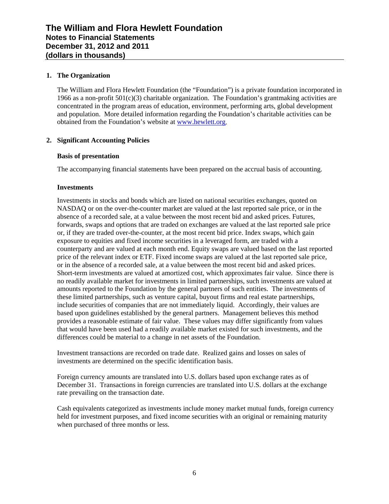## **1. The Organization**

The William and Flora Hewlett Foundation (the "Foundation") is a private foundation incorporated in 1966 as a non-profit 501(c)(3) charitable organization. The Foundation's grantmaking activities are concentrated in the program areas of education, environment, performing arts, global development and population. More detailed information regarding the Foundation's charitable activities can be obtained from the Foundation's website at www.hewlett.org.

## **2. Significant Accounting Policies**

## **Basis of presentation**

The accompanying financial statements have been prepared on the accrual basis of accounting.

## **Investments**

Investments in stocks and bonds which are listed on national securities exchanges, quoted on NASDAQ or on the over-the-counter market are valued at the last reported sale price, or in the absence of a recorded sale, at a value between the most recent bid and asked prices. Futures, forwards, swaps and options that are traded on exchanges are valued at the last reported sale price or, if they are traded over-the-counter, at the most recent bid price. Index swaps, which gain exposure to equities and fixed income securities in a leveraged form, are traded with a counterparty and are valued at each month end. Equity swaps are valued based on the last reported price of the relevant index or ETF. Fixed income swaps are valued at the last reported sale price, or in the absence of a recorded sale, at a value between the most recent bid and asked prices. Short-term investments are valued at amortized cost, which approximates fair value. Since there is no readily available market for investments in limited partnerships, such investments are valued at amounts reported to the Foundation by the general partners of such entities. The investments of these limited partnerships, such as venture capital, buyout firms and real estate partnerships, include securities of companies that are not immediately liquid. Accordingly, their values are based upon guidelines established by the general partners. Management believes this method provides a reasonable estimate of fair value. These values may differ significantly from values that would have been used had a readily available market existed for such investments, and the differences could be material to a change in net assets of the Foundation.

Investment transactions are recorded on trade date. Realized gains and losses on sales of investments are determined on the specific identification basis.

Foreign currency amounts are translated into U.S. dollars based upon exchange rates as of December 31. Transactions in foreign currencies are translated into U.S. dollars at the exchange rate prevailing on the transaction date.

Cash equivalents categorized as investments include money market mutual funds, foreign currency held for investment purposes, and fixed income securities with an original or remaining maturity when purchased of three months or less.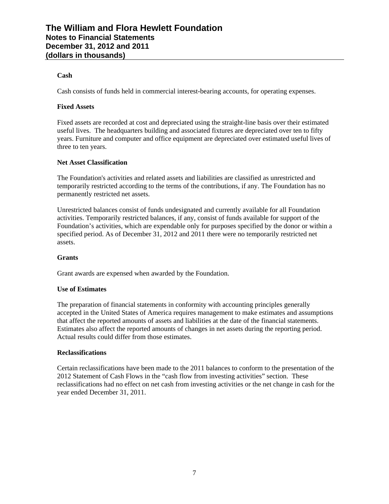## **Cash**

Cash consists of funds held in commercial interest-bearing accounts, for operating expenses.

## **Fixed Assets**

Fixed assets are recorded at cost and depreciated using the straight-line basis over their estimated useful lives. The headquarters building and associated fixtures are depreciated over ten to fifty years. Furniture and computer and office equipment are depreciated over estimated useful lives of three to ten years.

## **Net Asset Classification**

The Foundation's activities and related assets and liabilities are classified as unrestricted and temporarily restricted according to the terms of the contributions, if any. The Foundation has no permanently restricted net assets.

Unrestricted balances consist of funds undesignated and currently available for all Foundation activities. Temporarily restricted balances, if any, consist of funds available for support of the Foundation's activities, which are expendable only for purposes specified by the donor or within a specified period. As of December 31, 2012 and 2011 there were no temporarily restricted net assets.

## **Grants**

Grant awards are expensed when awarded by the Foundation.

## **Use of Estimates**

The preparation of financial statements in conformity with accounting principles generally accepted in the United States of America requires management to make estimates and assumptions that affect the reported amounts of assets and liabilities at the date of the financial statements. Estimates also affect the reported amounts of changes in net assets during the reporting period. Actual results could differ from those estimates.

## **Reclassifications**

Certain reclassifications have been made to the 2011 balances to conform to the presentation of the 2012 Statement of Cash Flows in the "cash flow from investing activities" section. These reclassifications had no effect on net cash from investing activities or the net change in cash for the year ended December 31, 2011.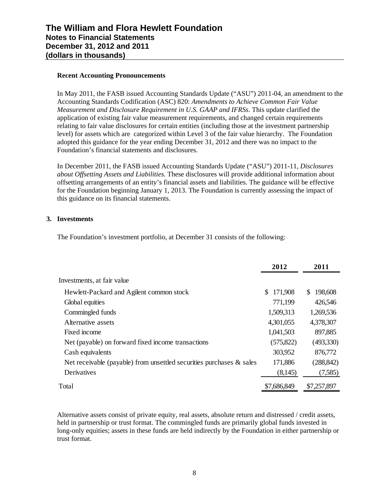## **Recent Accounting Pronouncements**

In May 2011, the FASB issued Accounting Standards Update ("ASU") 2011-04, an amendment to the Accounting Standards Codification (ASC) 820: *Amendments to Achieve Common Fair Value Measurement and Disclosure Requirement in U.S. GAAP and IFRSs*. This update clarified the application of existing fair value measurement requirements, and changed certain requirements relating to fair value disclosures for certain entities (including those at the investment partnership level) for assets which are categorized within Level 3 of the fair value hierarchy. The Foundation adopted this guidance for the year ending December 31, 2012 and there was no impact to the Foundation's financial statements and disclosures.

In December 2011, the FASB issued Accounting Standards Update ("ASU") 2011-11, *Disclosures about Offsetting Assets and Liabilities*. These disclosures will provide additional information about offsetting arrangements of an entity's financial assets and liabilities. The guidance will be effective for the Foundation beginning January 1, 2013. The Foundation is currently assessing the impact of this guidance on its financial statements.

## **3. Investments**

The Foundation's investment portfolio, at December 31 consists of the following:

|                                                                         | 2012           | 2011          |
|-------------------------------------------------------------------------|----------------|---------------|
| Investments, at fair value                                              |                |               |
| Hewlett-Packard and Agilent common stock                                | 171,908<br>\$. | 198,608<br>\$ |
| Global equities                                                         | 771,199        | 426,546       |
| Commingled funds                                                        | 1,509,313      | 1,269,536     |
| Alternative assets                                                      | 4,301,055      | 4,378,307     |
| Fixed income                                                            | 1,041,503      | 897,885       |
| Net (payable) on forward fixed income transactions                      | (575, 822)     | (493,330)     |
| Cash equivalents                                                        | 303,952        | 876,772       |
| Net receivable (payable) from unsettled securities purchases $\&$ sales | 171,886        | (288, 842)    |
| Derivatives                                                             | (8,145)        | (7,585)       |
| Total                                                                   | \$7,686,849    | \$7,257,897   |

Alternative assets consist of private equity, real assets, absolute return and distressed / credit assets, held in partnership or trust format. The commingled funds are primarily global funds invested in long-only equities; assets in these funds are held indirectly by the Foundation in either partnership or trust format.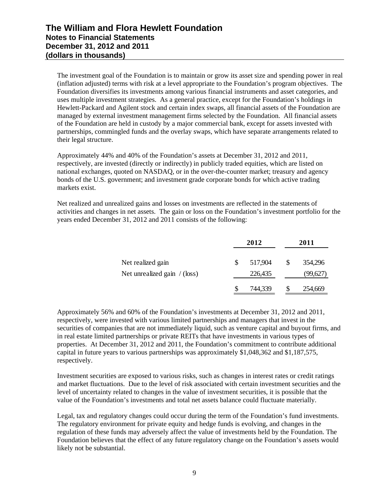The investment goal of the Foundation is to maintain or grow its asset size and spending power in real (inflation adjusted) terms with risk at a level appropriate to the Foundation's program objectives. The Foundation diversifies its investments among various financial instruments and asset categories, and uses multiple investment strategies. As a general practice, except for the Foundation's holdings in Hewlett-Packard and Agilent stock and certain index swaps, all financial assets of the Foundation are managed by external investment management firms selected by the Foundation. All financial assets of the Foundation are held in custody by a major commercial bank, except for assets invested with partnerships, commingled funds and the overlay swaps, which have separate arrangements related to their legal structure.

Approximately 44% and 40% of the Foundation's assets at December 31, 2012 and 2011, respectively, are invested (directly or indirectly) in publicly traded equities, which are listed on national exchanges, quoted on NASDAQ, or in the over-the-counter market; treasury and agency bonds of the U.S. government; and investment grade corporate bonds for which active trading markets exist.

Net realized and unrealized gains and losses on investments are reflected in the statements of activities and changes in net assets. The gain or loss on the Foundation's investment portfolio for the years ended December 31, 2012 and 2011 consists of the following:

|                               | 2012    |               | 2011     |
|-------------------------------|---------|---------------|----------|
| Net realized gain             | 517,904 | <sup>\$</sup> | 354,296  |
| Net unrealized gain $/(loss)$ | 226,435 |               | (99,627) |
|                               | 744,339 |               | 254,669  |

Approximately 56% and 60% of the Foundation's investments at December 31, 2012 and 2011, respectively, were invested with various limited partnerships and managers that invest in the securities of companies that are not immediately liquid, such as venture capital and buyout firms, and in real estate limited partnerships or private REITs that have investments in various types of properties. At December 31, 2012 and 2011, the Foundation's commitment to contribute additional capital in future years to various partnerships was approximately \$1,048,362 and \$1,187,575, respectively.

Investment securities are exposed to various risks, such as changes in interest rates or credit ratings and market fluctuations. Due to the level of risk associated with certain investment securities and the level of uncertainty related to changes in the value of investment securities, it is possible that the value of the Foundation's investments and total net assets balance could fluctuate materially.

Legal, tax and regulatory changes could occur during the term of the Foundation's fund investments. The regulatory environment for private equity and hedge funds is evolving, and changes in the regulation of these funds may adversely affect the value of investments held by the Foundation. The Foundation believes that the effect of any future regulatory change on the Foundation's assets would likely not be substantial.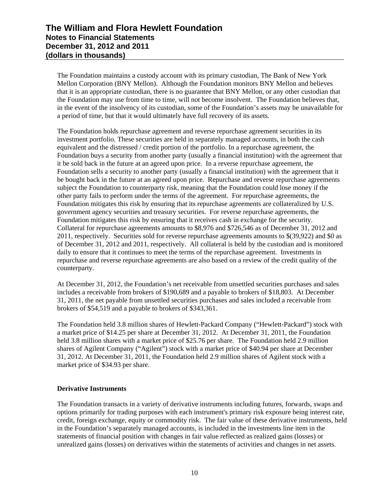The Foundation maintains a custody account with its primary custodian, The Bank of New York Mellon Corporation (BNY Mellon). Although the Foundation monitors BNY Mellon and believes that it is an appropriate custodian, there is no guarantee that BNY Mellon, or any other custodian that the Foundation may use from time to time, will not become insolvent. The Foundation believes that, in the event of the insolvency of its custodian, some of the Foundation's assets may be unavailable for a period of time, but that it would ultimately have full recovery of its assets.

The Foundation holds repurchase agreement and reverse repurchase agreement securities in its investment portfolio. These securities are held in separately managed accounts, in both the cash equivalent and the distressed / credit portion of the portfolio. In a repurchase agreement, the Foundation buys a security from another party (usually a financial institution) with the agreement that it be sold back in the future at an agreed upon price. In a reverse repurchase agreement, the Foundation sells a security to another party (usually a financial institution) with the agreement that it be bought back in the future at an agreed upon price. Repurchase and reverse repurchase agreements subject the Foundation to counterparty risk, meaning that the Foundation could lose money if the other party fails to perform under the terms of the agreement. For repurchase agreements, the Foundation mitigates this risk by ensuring that its repurchase agreements are collateralized by U.S. government agency securities and treasury securities. For reverse repurchase agreements, the Foundation mitigates this risk by ensuring that it receives cash in exchange for the security. Collateral for repurchase agreements amounts to \$8,976 and \$726,546 as of December 31, 2012 and 2011, respectively. Securities sold for reverse repurchase agreements amounts to \$(39,922) and \$0 as of December 31, 2012 and 2011, respectively. All collateral is held by the custodian and is monitored daily to ensure that it continues to meet the terms of the repurchase agreement. Investments in repurchase and reverse repurchase agreements are also based on a review of the credit quality of the counterparty.

At December 31, 2012, the Foundation's net receivable from unsettled securities purchases and sales includes a receivable from brokers of \$190,689 and a payable to brokers of \$18,803. At December 31, 2011, the net payable from unsettled securities purchases and sales included a receivable from brokers of \$54,519 and a payable to brokers of \$343,361.

The Foundation held 3.8 million shares of Hewlett-Packard Company ("Hewlett-Packard") stock with a market price of \$14.25 per share at December 31, 2012. At December 31, 2011, the Foundation held 3.8 million shares with a market price of \$25.76 per share. The Foundation held 2.9 million shares of Agilent Company ("Agilent") stock with a market price of \$40.94 per share at December 31, 2012. At December 31, 2011, the Foundation held 2.9 million shares of Agilent stock with a market price of \$34.93 per share.

## **Derivative Instruments**

The Foundation transacts in a variety of derivative instruments including futures, forwards, swaps and options primarily for trading purposes with each instrument's primary risk exposure being interest rate, credit, foreign exchange, equity or commodity risk. The fair value of these derivative instruments, held in the Foundation's separately managed accounts, is included in the investments line item in the statements of financial position with changes in fair value reflected as realized gains (losses) or unrealized gains (losses) on derivatives within the statements of activities and changes in net assets.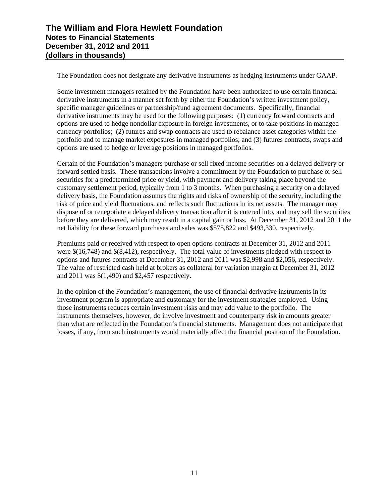The Foundation does not designate any derivative instruments as hedging instruments under GAAP.

Some investment managers retained by the Foundation have been authorized to use certain financial derivative instruments in a manner set forth by either the Foundation's written investment policy, specific manager guidelines or partnership/fund agreement documents. Specifically, financial derivative instruments may be used for the following purposes: (1) currency forward contracts and options are used to hedge nondollar exposure in foreign investments, or to take positions in managed currency portfolios; (2) futures and swap contracts are used to rebalance asset categories within the portfolio and to manage market exposures in managed portfolios; and (3) futures contracts, swaps and options are used to hedge or leverage positions in managed portfolios.

Certain of the Foundation's managers purchase or sell fixed income securities on a delayed delivery or forward settled basis. These transactions involve a commitment by the Foundation to purchase or sell securities for a predetermined price or yield, with payment and delivery taking place beyond the customary settlement period, typically from 1 to 3 months. When purchasing a security on a delayed delivery basis, the Foundation assumes the rights and risks of ownership of the security, including the risk of price and yield fluctuations, and reflects such fluctuations in its net assets. The manager may dispose of or renegotiate a delayed delivery transaction after it is entered into, and may sell the securities before they are delivered, which may result in a capital gain or loss. At December 31, 2012 and 2011 the net liability for these forward purchases and sales was \$575,822 and \$493,330, respectively.

Premiums paid or received with respect to open options contracts at December 31, 2012 and 2011 were \$(16,748) and \$(8,412), respectively. The total value of investments pledged with respect to options and futures contracts at December 31, 2012 and 2011 was \$2,998 and \$2,056, respectively. The value of restricted cash held at brokers as collateral for variation margin at December 31, 2012 and 2011 was \$(1,490) and \$2,457 respectively.

In the opinion of the Foundation's management, the use of financial derivative instruments in its investment program is appropriate and customary for the investment strategies employed. Using those instruments reduces certain investment risks and may add value to the portfolio. The instruments themselves, however, do involve investment and counterparty risk in amounts greater than what are reflected in the Foundation's financial statements. Management does not anticipate that losses, if any, from such instruments would materially affect the financial position of the Foundation.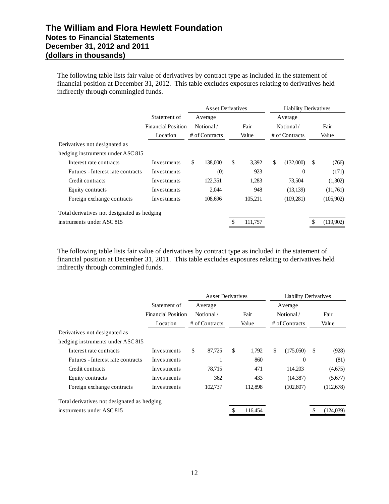The following table lists fair value of derivatives by contract type as included in the statement of financial position at December 31, 2012. This table excludes exposures relating to derivatives held indirectly through commingled funds.

|                                             |                                           | <b>Asset Derivatives</b> |             | <b>Liability Derivatives</b> |             |
|---------------------------------------------|-------------------------------------------|--------------------------|-------------|------------------------------|-------------|
|                                             | Statement of<br><b>Financial Position</b> | Average<br>Notional/     | Fair        | Average<br>Notional/         | Fair        |
|                                             | Location                                  | # of Contracts           | Value       | # of Contracts               | Value       |
| Derivatives not designated as               |                                           |                          |             |                              |             |
| hedging instruments under ASC 815           |                                           |                          |             |                              |             |
| Interest rate contracts                     | Investments                               | \$<br>138,000            | \$<br>3,392 | \$<br>(132,000)              | \$<br>(766) |
| Futures - Interest rate contracts           | Investments                               | (0)                      | 923         | $\Omega$                     | (171)       |
| Credit contracts                            | Investments                               | 122,351                  | 1,283       | 73,504                       | (1,302)     |
| Equity contracts                            | Investments                               | 2,044                    | 948         | (13, 139)                    | (11,761)    |
| Foreign exchange contracts                  | Investments                               | 108,696                  | 105,211     | (109, 281)                   | (105,902)   |
| Total derivatives not designated as hedging |                                           |                          |             |                              |             |
| instruments under ASC 815                   |                                           |                          | 111,757     |                              | (119,902)   |

The following table lists fair value of derivatives by contract type as included in the statement of financial position at December 31, 2011. This table excludes exposures relating to derivatives held indirectly through commingled funds.

|                                             |                                                       | <b>Asset Derivatives</b>               |               | <b>Liability Derivatives</b>           |    |               |
|---------------------------------------------|-------------------------------------------------------|----------------------------------------|---------------|----------------------------------------|----|---------------|
|                                             | Statement of<br><b>Financial Position</b><br>Location | Average<br>Notional/<br># of Contracts | Fair<br>Value | Average<br>Notional/<br># of Contracts |    | Fair<br>Value |
| Derivatives not designated as               |                                                       |                                        |               |                                        |    |               |
| hedging instruments under ASC 815           |                                                       |                                        |               |                                        |    |               |
| Interest rate contracts                     | Investments                                           | \$<br>87,725                           | \$<br>1,792   | \$<br>(175,050)                        | \$ | (928)         |
| Futures - Interest rate contracts           | Investments                                           |                                        | 860           | $\Omega$                               |    | (81)          |
| Credit contracts                            | Investments                                           | 78,715                                 | 471           | 114,203                                |    | (4,675)       |
| Equity contracts                            | Investments                                           | 362                                    | 433           | (14, 387)                              |    | (5,677)       |
| Foreign exchange contracts                  | Investments                                           | 102,737                                | 112,898       | (102, 807)                             |    | (112,678)     |
| Total derivatives not designated as hedging |                                                       |                                        |               |                                        |    |               |
| instruments under ASC 815                   |                                                       |                                        | 116,454       |                                        | S  | (124, 039)    |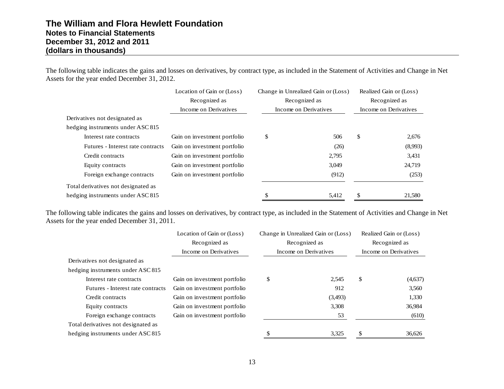The following table indicates the gains and losses on derivatives, by contract type, as included in the Statement of Activities and Change in Net Assets for the year ended December 31, 2012.

|                                     | Location of Gain or (Loss)   | Change in Unrealized Gain or (Loss) |    | Realized Gain or (Loss) |
|-------------------------------------|------------------------------|-------------------------------------|----|-------------------------|
|                                     | Recognized as                | Recognized as                       |    | Recognized as           |
|                                     | Income on Derivatives        | Income on Derivatives               |    | Income on Derivatives   |
| Derivatives not designated as       |                              |                                     |    |                         |
| hedging instruments under ASC 815   |                              |                                     |    |                         |
| Interest rate contracts             | Gain on investment portfolio | \$<br>506                           | \$ | 2,676                   |
| Futures - Interest rate contracts   | Gain on investment portfolio | (26)                                |    | (8,993)                 |
| Credit contracts                    | Gain on investment portfolio | 2,795                               |    | 3,431                   |
| Equity contracts                    | Gain on investment portfolio | 3,049                               |    | 24,719                  |
| Foreign exchange contracts          | Gain on investment portfolio | (912)                               |    | (253)                   |
| Total derivatives not designated as |                              |                                     |    |                         |
| hedging instruments under ASC 815   |                              | \$<br>5,412                         | S  | 21,580                  |

The following table indicates the gains and losses on derivatives, by contract type, as included in the Statement of Activities and Change in Net Assets for the year ended December 31, 2011.

|                                     | Location of Gain or (Loss)   | Change in Unrealized Gain or (Loss) | Realized Gain or (Loss) |
|-------------------------------------|------------------------------|-------------------------------------|-------------------------|
|                                     | Recognized as                | Recognized as                       | Recognized as           |
|                                     | Income on Derivatives        | Income on Derivatives               | Income on Derivatives   |
| Derivatives not designated as       |                              |                                     |                         |
| hedging instruments under ASC 815   |                              |                                     |                         |
| Interest rate contracts             | Gain on investment portfolio | \$<br>2,545                         | \$<br>(4,637)           |
| Futures - Interest rate contracts   | Gain on investment portfolio | 912                                 | 3,560                   |
| Credit contracts                    | Gain on investment portfolio | (3,493)                             | 1,330                   |
| Equity contracts                    | Gain on investment portfolio | 3,308                               | 36,984                  |
| Foreign exchange contracts          | Gain on investment portfolio | 53                                  | (610)                   |
| Total derivatives not designated as |                              |                                     |                         |
| hedging instruments under ASC 815   |                              | 3,325                               | \$<br>36,626            |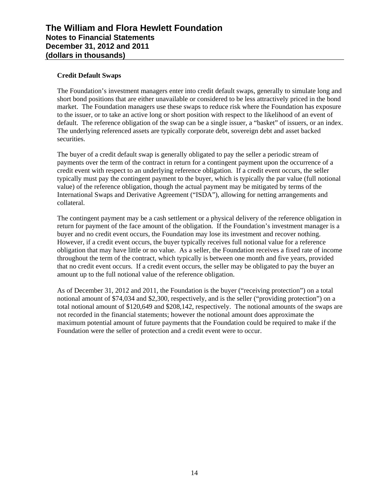## **Credit Default Swaps**

The Foundation's investment managers enter into credit default swaps, generally to simulate long and short bond positions that are either unavailable or considered to be less attractively priced in the bond market. The Foundation managers use these swaps to reduce risk where the Foundation has exposure to the issuer, or to take an active long or short position with respect to the likelihood of an event of default. The reference obligation of the swap can be a single issuer, a "basket" of issuers, or an index. The underlying referenced assets are typically corporate debt, sovereign debt and asset backed securities.

The buyer of a credit default swap is generally obligated to pay the seller a periodic stream of payments over the term of the contract in return for a contingent payment upon the occurrence of a credit event with respect to an underlying reference obligation. If a credit event occurs, the seller typically must pay the contingent payment to the buyer, which is typically the par value (full notional value) of the reference obligation, though the actual payment may be mitigated by terms of the International Swaps and Derivative Agreement ("ISDA"), allowing for netting arrangements and collateral.

The contingent payment may be a cash settlement or a physical delivery of the reference obligation in return for payment of the face amount of the obligation. If the Foundation's investment manager is a buyer and no credit event occurs, the Foundation may lose its investment and recover nothing. However, if a credit event occurs, the buyer typically receives full notional value for a reference obligation that may have little or no value. As a seller, the Foundation receives a fixed rate of income throughout the term of the contract, which typically is between one month and five years, provided that no credit event occurs. If a credit event occurs, the seller may be obligated to pay the buyer an amount up to the full notional value of the reference obligation.

As of December 31, 2012 and 2011, the Foundation is the buyer ("receiving protection") on a total notional amount of \$74,034 and \$2,300, respectively, and is the seller ("providing protection") on a total notional amount of \$120,649 and \$208,142, respectively. The notional amounts of the swaps are not recorded in the financial statements; however the notional amount does approximate the maximum potential amount of future payments that the Foundation could be required to make if the Foundation were the seller of protection and a credit event were to occur.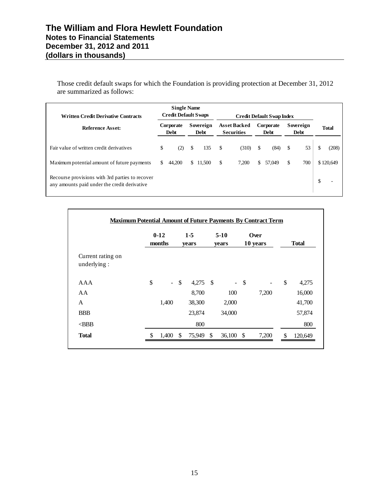Those credit default swaps for which the Foundation is providing protection at December 31, 2012 are summarized as follows:

| <b>Written Credit Derivative Contracts</b>                                                      |     | <b>Single Name</b><br><b>Credit Default Swaps</b> |     |                   |      |                                          |     | <b>Credit Default Swap Index</b> |    |                          |    |              |
|-------------------------------------------------------------------------------------------------|-----|---------------------------------------------------|-----|-------------------|------|------------------------------------------|-----|----------------------------------|----|--------------------------|----|--------------|
| <b>Reference Asset:</b>                                                                         |     | Corporate<br><b>Debt</b>                          |     | Sovereign<br>Debt |      | <b>Asset Backed</b><br><b>Securities</b> |     | Corporate<br><b>Debt</b>         |    | Sovereign<br><b>Debt</b> |    | <b>Total</b> |
| Fair value of written credit derivatives                                                        | \$  | (2)                                               | \$  | 135               | - \$ | (310)                                    | \$  | (84)                             | \$ | 53                       | ъ  | (208)        |
| Maximum potential amount of future payments                                                     | \$. | 44,200                                            | \$. | 11,500            | \$   | 7,200                                    | \$. | 57,049                           | S  | 700                      |    | \$120,649    |
| Recourse provisions with 3rd parties to recover<br>any amounts paid under the credit derivative |     |                                                   |     |                   |      |                                          |     |                                  |    |                          | Ъ. |              |

|                                  |    | $0 - 12$<br>months |        | $1 - 5$<br>years |               | $5-10$<br>years          | Over<br>10 years   |       | <b>Total</b> |         |
|----------------------------------|----|--------------------|--------|------------------|---------------|--------------------------|--------------------|-------|--------------|---------|
| Current rating on<br>underlying: |    |                    |        |                  |               |                          |                    |       |              |         |
| AAA                              | \$ |                    | $-$ \$ | $4,275$ \$       |               | $\overline{\phantom{a}}$ | $\mathbf{\hat{S}}$ |       | \$           | 4,275   |
| AA                               |    |                    |        | 8,700            |               | 100                      |                    | 7,200 |              | 16,000  |
| A                                |    | 1,400              |        | 38,300           |               | 2,000                    |                    |       |              | 41,700  |
| <b>BBB</b>                       |    |                    |        | 23,874           |               | 34,000                   |                    |       |              | 57,874  |
| $<$ BBB                          |    |                    |        | 800              |               |                          |                    |       |              | 800     |
| <b>Total</b>                     | S  | 1,400              | \$     | 75,949           | <sup>\$</sup> | 36,100                   | -\$                | 7,200 | \$           | 120,649 |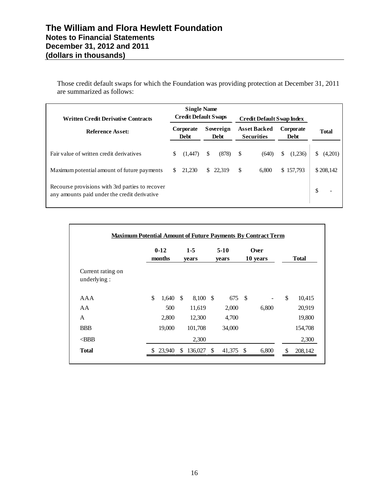Those credit default swaps for which the Foundation was providing protection at December 31, 2011 are summarized as follows:

| <b>Written Credit Derivative Contracts</b><br>Reference Asset:                                  |    | <b>Single Name</b><br><b>Credit Default Swaps</b> |   |                   | <b>Credit Default Swap Index</b> |                                          |    |                          |    |              |
|-------------------------------------------------------------------------------------------------|----|---------------------------------------------------|---|-------------------|----------------------------------|------------------------------------------|----|--------------------------|----|--------------|
|                                                                                                 |    | Corporate<br><b>Debt</b>                          |   | Sovereign<br>Debt |                                  | <b>Asset Backed</b><br><b>Securities</b> |    | Corporate<br><b>Debt</b> |    | <b>Total</b> |
| Fair value of written credit derivatives                                                        | \$ | (1,447)                                           | S | (878)             | \$                               | (640)                                    | \$ | (1,236)                  | \$ | (4,201)      |
| Maximum potential amount of future payments                                                     | S  | 21.230                                            |   | \$22.319          | \$                               | 6.800                                    |    | \$157,793                |    | \$208,142    |
| Recourse provisions with 3rd parties to recover<br>any amounts paid under the credit derivative |    |                                                   |   |                   |                                  |                                          |    |                          | \$ |              |

|                                  | $0 - 12$<br>months | $1 - 5$<br>years | $5-10$<br>years | Over<br>10 years | <b>Total</b>  |
|----------------------------------|--------------------|------------------|-----------------|------------------|---------------|
| Current rating on<br>underlying: |                    |                  |                 |                  |               |
| AAA                              | \$<br>$1,640$ \$   | 8,100 \$         | 675 \$          |                  | \$<br>10,415  |
| AA                               | 500                | 11,619           | 2,000           | 6,800            | 20,919        |
| A                                | 2,800              | 12,300           | 4,700           |                  | 19,800        |
| <b>BBB</b>                       | 19,000             | 101,708          | 34,000          |                  | 154,708       |
| $<$ BBB                          |                    | 2,300            |                 |                  | 2,300         |
| <b>Total</b>                     | 23,940             | \$<br>136,027    | \$<br>41,375 \$ | 6,800            | \$<br>208,142 |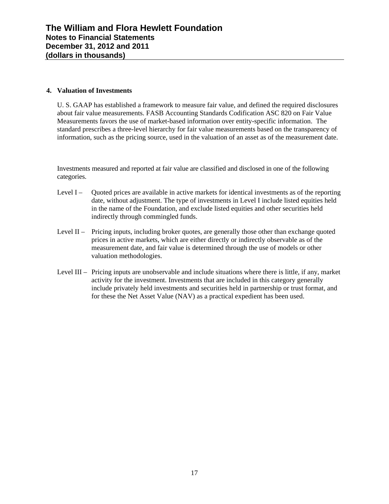## **4. Valuation of Investments**

U. S. GAAP has established a framework to measure fair value, and defined the required disclosures about fair value measurements. FASB Accounting Standards Codification ASC 820 on Fair Value Measurements favors the use of market-based information over entity-specific information. The standard prescribes a three-level hierarchy for fair value measurements based on the transparency of information, such as the pricing source, used in the valuation of an asset as of the measurement date.

Investments measured and reported at fair value are classified and disclosed in one of the following categories.

- Level I Quoted prices are available in active markets for identical investments as of the reporting date, without adjustment. The type of investments in Level I include listed equities held in the name of the Foundation, and exclude listed equities and other securities held indirectly through commingled funds.
- Level II Pricing inputs, including broker quotes, are generally those other than exchange quoted prices in active markets, which are either directly or indirectly observable as of the measurement date, and fair value is determined through the use of models or other valuation methodologies.
- Level III Pricing inputs are unobservable and include situations where there is little, if any, market activity for the investment. Investments that are included in this category generally include privately held investments and securities held in partnership or trust format, and for these the Net Asset Value (NAV) as a practical expedient has been used.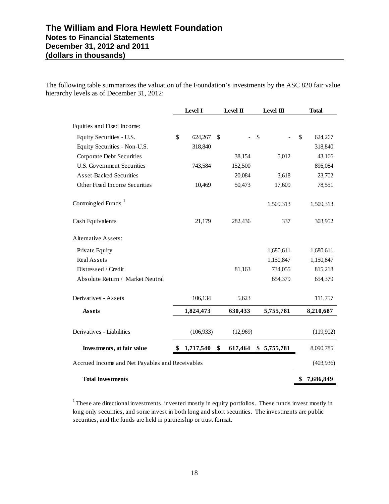The following table summarizes the valuation of the Foundation's investments by the ASC 820 fair value hierarchy levels as of December 31, 2012:

|                                                 |     | Level I    |    | Level II | Level III   | <b>Total</b>    |
|-------------------------------------------------|-----|------------|----|----------|-------------|-----------------|
| Equities and Fixed Income:                      |     |            |    |          |             |                 |
| Equity Securities - U.S.                        | \$  | 624,267    | \$ | $\sim$   | \$          | \$<br>624,267   |
| Equity Securities - Non-U.S.                    |     | 318,840    |    |          |             | 318,840         |
| <b>Corporate Debt Securities</b>                |     |            |    | 38,154   | 5,012       | 43,166          |
| <b>U.S. Government Securities</b>               |     | 743,584    |    | 152,500  |             | 896,084         |
| <b>Asset-Backed Securities</b>                  |     |            |    | 20,084   | 3,618       | 23,702          |
| Other Fixed Income Securities                   |     | 10,469     |    | 50,473   | 17,609      | 78,551          |
| Commingled Funds <sup>1</sup>                   |     |            |    |          | 1,509,313   | 1,509,313       |
| Cash Equivalents                                |     | 21,179     |    | 282,436  | 337         | 303,952         |
| <b>Alternative Assets:</b>                      |     |            |    |          |             |                 |
| Private Equity                                  |     |            |    |          | 1,680,611   | 1,680,611       |
| <b>Real Assets</b>                              |     |            |    |          | 1,150,847   | 1,150,847       |
| Distressed / Credit                             |     |            |    | 81,163   | 734,055     | 815,218         |
| Absolute Return / Market Neutral                |     |            |    |          | 654,379     | 654,379         |
| Derivatives - Assets                            |     | 106,134    |    | 5,623    |             | 111,757         |
| <b>Assets</b>                                   |     | 1,824,473  |    | 630,433  | 5,755,781   | 8,210,687       |
| Derivatives - Liabilities                       |     | (106, 933) |    | (12,969) |             | (119,902)       |
| Investments, at fair value                      | SS. | 1,717,540  | \$ | 617,464  | \$5,755,781 | 8,090,785       |
| Accrued Income and Net Payables and Receivables |     |            |    |          |             | (403, 936)      |
| <b>Total Investments</b>                        |     |            |    |          |             | \$<br>7,686,849 |

<sup>1</sup> These are directional investments, invested mostly in equity portfolios. These funds invest mostly in long only securities, and some invest in both long and short securities. The investments are public securities, and the funds are held in partnership or trust format.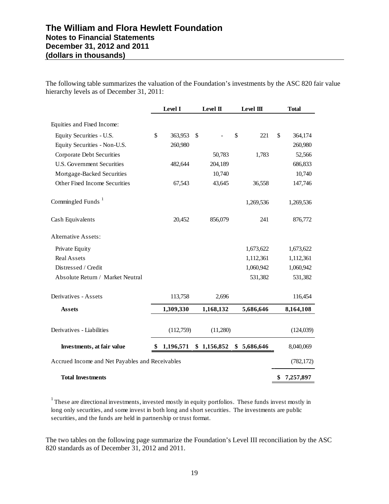The following table summarizes the valuation of the Foundation's investments by the ASC 820 fair value hierarchy levels as of December 31, 2011:

|                                                 | Level I       | Level II    | Level III   | <b>Total</b>    |
|-------------------------------------------------|---------------|-------------|-------------|-----------------|
| Equities and Fixed Income:                      |               |             |             |                 |
| Equity Securities - U.S.                        | \$<br>363,953 | \$          | \$<br>221   | \$<br>364,174   |
| Equity Securities - Non-U.S.                    | 260,980       |             |             | 260,980         |
| Corporate Debt Securities                       |               | 50,783      | 1,783       | 52,566          |
| <b>U.S. Government Securities</b>               | 482,644       | 204,189     |             | 686,833         |
| Mortgage-Backed Securities                      |               | 10,740      |             | 10,740          |
| Other Fixed Income Securities                   | 67,543        | 43,645      | 36,558      | 147,746         |
| Commingled Funds <sup>1</sup>                   |               |             | 1,269,536   | 1,269,536       |
| Cash Equivalents                                | 20,452        | 856,079     | 241         | 876,772         |
| <b>Alternative Assets:</b>                      |               |             |             |                 |
| Private Equity                                  |               |             | 1,673,622   | 1,673,622       |
| <b>Real Assets</b>                              |               |             | 1,112,361   | 1,112,361       |
| Distressed / Credit                             |               |             | 1,060,942   | 1,060,942       |
| Absolute Return / Market Neutral                |               |             | 531,382     | 531,382         |
| Derivatives - Assets                            | 113,758       | 2,696       |             | 116,454         |
| <b>Assets</b>                                   | 1,309,330     | 1,168,132   | 5,686,646   | 8,164,108       |
| Derivatives - Liabilities                       | (112,759)     | (11,280)    |             | (124, 039)      |
| Investments, at fair value                      | 1,196,571     | \$1,156,852 | \$5,686,646 | 8,040,069       |
| Accrued Income and Net Payables and Receivables |               |             |             | (782, 172)      |
| <b>Total Investments</b>                        |               |             |             | \$<br>7,257,897 |

1 These are directional investments, invested mostly in equity portfolios. These funds invest mostly in long only securities, and some invest in both long and short securities. The investments are public securities, and the funds are held in partnership or trust format.

The two tables on the following page summarize the Foundation's Level III reconciliation by the ASC 820 standards as of December 31, 2012 and 2011.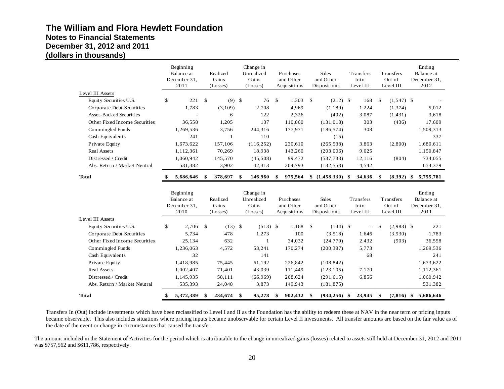|                                | Beginning<br>Balance at<br>December 31,<br>2011 |              | Realized<br>Gains<br>(Losse)  | Change in<br>Unrealized<br>Gains<br>(Losses) |               | Purchases<br>and Other<br>Acquisitions |              | <b>Sales</b><br>and Other<br>Dispositions | Transfers<br>Into<br>Level III |               | Transfers<br>Out of<br>Level III | Ending<br>Balance at<br>December 31,<br>2012 |
|--------------------------------|-------------------------------------------------|--------------|-------------------------------|----------------------------------------------|---------------|----------------------------------------|--------------|-------------------------------------------|--------------------------------|---------------|----------------------------------|----------------------------------------------|
| Level III Assets               |                                                 |              |                               |                                              |               |                                        |              |                                           |                                |               |                                  |                                              |
| Equity Securities U.S.         | \$<br>221                                       | $\mathbb{S}$ | $(9)$ \$                      | 76                                           | $\mathcal{S}$ | 1,303                                  | $\mathbb{S}$ | $(212)$ \$                                | 168                            | $\mathbb{S}$  | $(1,547)$ \$                     |                                              |
| Corporate Debt Securities      | 1.783                                           |              | (3,109)                       | 2,708                                        |               | 4,969                                  |              | (1, 189)                                  | 1.224                          |               | (1, 374)                         | 5,012                                        |
| <b>Asset-Backed Securities</b> |                                                 |              | 6                             | 122                                          |               | 2,326                                  |              | (492)                                     | 3,087                          |               | (1, 431)                         | 3,618                                        |
| Other Fixed Income Securities  | 36,558                                          |              | 1,205                         | 137                                          |               | 110,860                                |              | (131, 018)                                | 303                            |               | (436)                            | 17,609                                       |
| Commingled Funds               | 1,269,536                                       |              | 3,756                         | 244,316                                      |               | 177,971                                |              | (186, 574)                                | 308                            |               |                                  | 1,509,313                                    |
| Cash Equivalents               | 241                                             |              | 1                             | 110                                          |               |                                        |              | (15)                                      |                                |               |                                  | 337                                          |
| Private Equity                 | 1,673,622                                       |              | 157,106                       | (116, 252)                                   |               | 230,610                                |              | (265, 538)                                | 3,863                          |               | (2,800)                          | 1,680,611                                    |
| <b>Real Assets</b>             | 1,112,361                                       |              | 70,269                        | 18,938                                       |               | 143,260                                |              | (203,006)                                 | 9,025                          |               |                                  | 1,150,847                                    |
| Distressed / Credit            | 1,060,942                                       |              | 145,570                       | (45,508)                                     |               | 99,472                                 |              | (537, 733)                                | 12,116                         |               | (804)                            | 734,055                                      |
| Abs. Return / Market Neutral   | 531,382                                         |              | 3,902                         | 42,313                                       |               | 204,793                                |              | (132, 553)                                | 4,542                          |               |                                  | 654,379                                      |
| <b>Total</b>                   | 5,686,646                                       | \$           | 378,697                       | \$<br>146,960                                | \$            | 975,564                                |              | $$(1,458,330)$ \\$                        | 34,636                         | - \$          | $(8,392)$ \$                     | 5,755,781                                    |
|                                | Beginning<br>Balance at<br>December 31,<br>2010 |              | Realized<br>Gains<br>(Losses) | Change in<br>Unrealized<br>Gains<br>(Losses) |               | Purchases<br>and Other<br>Acquisitions |              | <b>Sales</b><br>and Other<br>Dispositions | Transfers<br>Into<br>Level III |               | Transfers<br>Out of<br>Level III | Ending<br>Balance at<br>December 31,<br>2011 |
| Level III Assets               |                                                 |              |                               |                                              |               |                                        |              |                                           |                                |               |                                  |                                              |
| Equity Securities U.S.         | \$<br>2,706                                     | \$           | $(13)$ \$                     | $(513)$ \$                                   |               | 1,168                                  | $\mathbb{S}$ | $(144)$ \$                                |                                | <sup>\$</sup> | $(2,983)$ \$                     | 221                                          |
| Corporate Debt Securities      | 5,734                                           |              | 478                           | 1,273                                        |               | 100                                    |              | (3,518)                                   | 1,646                          |               | (3,930)                          | 1,783                                        |
| Other Fixed Income Securities  | 25,134                                          |              | 632                           | $\mathbf{1}$                                 |               | 34,032                                 |              | (24,770)                                  | 2,432                          |               | (903)                            | 36,558                                       |
| Commingled Funds               | 1,236,063                                       |              | 4,572                         | 53,241                                       |               | 170,274                                |              | (200, 387)                                | 5,773                          |               |                                  | 1,269,536                                    |
| Cash Equivalents               | 32                                              |              |                               | 141                                          |               |                                        |              |                                           | 68                             |               |                                  | 241                                          |
| Private Equity                 | 1,418,985                                       |              | 75,445                        | 61,192                                       |               | 226,842                                |              | (108, 842)                                |                                |               |                                  | 1,673,622                                    |
| Real Assets                    | 1,002,407                                       |              | 71,401                        | 43,039                                       |               | 111,449                                |              | (123, 105)                                | 7,170                          |               |                                  | 1,112,361                                    |
| Distressed / Credit            | 1,145,935                                       |              | 58,111                        | (66,969)                                     |               | 208,624                                |              | (291, 615)                                | 6,856                          |               |                                  | 1,060,942                                    |
| Abs. Return / Market Neutral   | 535,393                                         |              | 24,048                        | 3,873                                        |               | 149,943                                |              | (181, 875)                                |                                |               |                                  | 531,382                                      |
| <b>Total</b>                   | \$<br>5,372,389                                 | \$           | 234,674                       | \$<br>95,278                                 | \$            | 902,432                                | \$           | $(934, 256)$ \$                           | 23,945                         | \$            | $(7,816)$ \$                     | 5.686.646                                    |

Transfers In (Out) include investments which have been reclassified to Level I and II as the Foundation has the ability to redeem these at NAV in the near term or pricing inputs became observable. This also includes situations where pricing inputs became unobservable for certain Level II investments. All transfer amounts are based on the fair value as of the date of the event or change in circumstances that caused the transfer.

The amount included in the Statement of Activities for the period which is attributable to the change in unrealized gains (losses) related to assets still held at December 31, 2012 and 2011 was \$757,562 and \$611,786, respectively.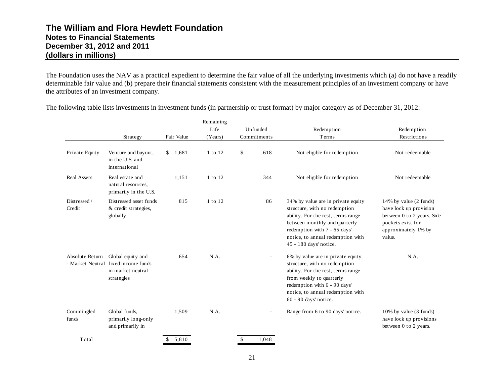The Foundation uses the NAV as a practical expedient to determine the fair value of all the underlying investments which (a) do not have a readily determinable fair value and (b) prepare their financial statements consistent with the measurement principles of an investment company or have the attributes of an investment company.

|                        |                                                                                             |            | Remaining |                        |                                                                                                                                                                                                                                                 |                                                                                                                                      |
|------------------------|---------------------------------------------------------------------------------------------|------------|-----------|------------------------|-------------------------------------------------------------------------------------------------------------------------------------------------------------------------------------------------------------------------------------------------|--------------------------------------------------------------------------------------------------------------------------------------|
|                        |                                                                                             |            | Life      | Unfunded               | Redemption                                                                                                                                                                                                                                      | Redemption                                                                                                                           |
|                        | Strategy                                                                                    | Fair Value | (Years)   | Commitments            | Terms                                                                                                                                                                                                                                           | Restrictions                                                                                                                         |
| Private Equity         | Venture and buyout,<br>in the U.S. and<br>international                                     | \$1,681    | 1 to 12   | \$                     | 618<br>Not eligible for redemption                                                                                                                                                                                                              | Not redeemable                                                                                                                       |
| <b>Real Assets</b>     | Real estate and<br>natural resources,<br>primarily in the U.S.                              | 1,151      | 1 to 12   |                        | 344<br>Not eligible for redemption                                                                                                                                                                                                              | Not redeemable                                                                                                                       |
| Distressed /<br>Credit | Distressed asset funds<br>& credit strategies,<br>globally                                  | 815        | 1 to 12   |                        | 86<br>34% by value are in private equity<br>structure, with no redemption<br>ability. For the rest, terms range<br>between monthly and quarterly<br>redemption with 7 - 65 days'<br>notice, to annual redemption with<br>45 - 180 days' notice. | 14% by value (2 funds)<br>have lock up provision<br>between 0 to 2 years. Side<br>pockets exist for<br>approximately 1% by<br>value. |
| Absolute Return        | Global equity and<br>- Market Neutral fixed income funds<br>in market neutral<br>strategies | 654        | N.A.      |                        | 6% by value are in private equity<br>$\sim$<br>structure, with no redemption<br>ability. For the rest, terms range<br>from weekly to quarterly<br>redemption with 6 - 90 days'<br>notice, to annual redemption with<br>60 - 90 days' notice.    | N.A.                                                                                                                                 |
| Commingled<br>funds    | Global funds,<br>primarily long-only<br>and primarily in                                    | 1,509      | N.A.      |                        | Range from 6 to 90 days' notice.                                                                                                                                                                                                                | 10% by value (3 funds)<br>have lock up provisions<br>between 0 to 2 years.                                                           |
| Total                  |                                                                                             | \$5,810    |           | 1,048<br><sup>\$</sup> |                                                                                                                                                                                                                                                 |                                                                                                                                      |

The following table lists investments in investment funds (in partnership or trust format) by major category as of December 31, 2012: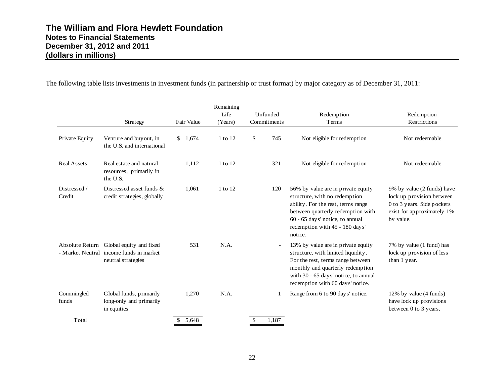The following table lists investments in investment funds (in partnership or trust format) by major category as of December 31, 2011:

|                        | Strategy                                                                                 | Fair Value            | Remaining<br>Life<br>(Years) | Unfunded<br>Commitments | Redemption<br>Terms                                                                                                                                                                                                            | Redemption<br>Restrictions                                                                                                       |
|------------------------|------------------------------------------------------------------------------------------|-----------------------|------------------------------|-------------------------|--------------------------------------------------------------------------------------------------------------------------------------------------------------------------------------------------------------------------------|----------------------------------------------------------------------------------------------------------------------------------|
| Private Equity         | Venture and buyout, in<br>the U.S. and international                                     | 1,674<br>$\mathbb{S}$ | 1 to 12                      | \$<br>745               | Not eligible for redemption                                                                                                                                                                                                    | Not redeemable                                                                                                                   |
| <b>Real Assets</b>     | Real estate and natural<br>resources, primarily in<br>the U.S.                           | 1,112                 | 1 to 12                      | 321                     | Not eligible for redemption                                                                                                                                                                                                    | Not redeemable                                                                                                                   |
| Distressed /<br>Credit | Distressed asset funds $\&$<br>credit strategies, globally                               | 1,061                 | 1 to 12                      | 120                     | 56% by value are in private equity<br>structure, with no redemption<br>ability. For the rest, terms range<br>between quarterly redemption with<br>60 - 65 days' notice, to annual<br>redemption with 45 - 180 days'<br>notice. | 9% by value (2 funds) have<br>lock up provision between<br>0 to 3 years. Side pockets<br>exist for approximately 1%<br>by value. |
| Absolute Return        | Global equity and fixed<br>- Market Neutral income funds in market<br>neutral strategies | 531                   | N.A.                         |                         | 13% by value are in private equity<br>structure, with limited liquidity.<br>For the rest, terms range between<br>monthly and quarterly redemption<br>with 30 - 65 days' notice, to annual<br>redemption with 60 days' notice.  | 7% by value (1 fund) has<br>lock up provision of less<br>than 1 year.                                                            |
| Commingled<br>funds    | Global funds, primarily<br>long-only and primarily<br>in equities                        | 1,270                 | N.A.                         | 1                       | Range from 6 to 90 days' notice.                                                                                                                                                                                               | 12% by value (4 funds)<br>have lock up provisions<br>between 0 to 3 years.                                                       |
| Total                  |                                                                                          | 5.648<br>\$           |                              | 1,187<br>$\mathbb{S}$   |                                                                                                                                                                                                                                |                                                                                                                                  |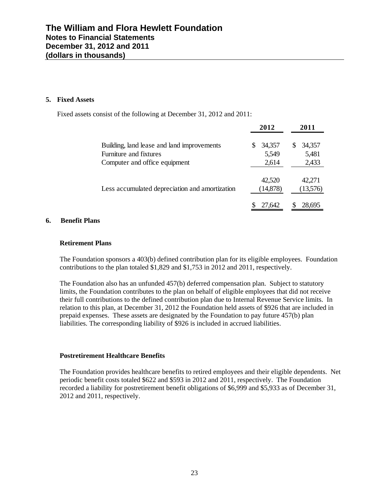#### **5. Fixed Assets**

Fixed assets consist of the following at December 31, 2012 and 2011:

|                                                                      | 2012                 | 2011               |
|----------------------------------------------------------------------|----------------------|--------------------|
| Building, land lease and land improvements<br>Furniture and fixtures | 34.357<br>S<br>5,549 | 34,357<br>5,481    |
| Computer and office equipment                                        | 2,614                | 2,433              |
| Less accumulated depreciation and amortization                       | 42,520<br>(14, 878)  | 42.271<br>(13,576) |
|                                                                      | 27.642               | 28.695             |

#### **6. Benefit Plans**

#### **Retirement Plans**

The Foundation sponsors a 403(b) defined contribution plan for its eligible employees. Foundation contributions to the plan totaled \$1,829 and \$1,753 in 2012 and 2011, respectively.

The Foundation also has an unfunded 457(b) deferred compensation plan. Subject to statutory limits, the Foundation contributes to the plan on behalf of eligible employees that did not receive their full contributions to the defined contribution plan due to Internal Revenue Service limits. In relation to this plan, at December 31, 2012 the Foundation held assets of \$926 that are included in prepaid expenses. These assets are designated by the Foundation to pay future 457(b) plan liabilities. The corresponding liability of \$926 is included in accrued liabilities.

#### **Postretirement Healthcare Benefits**

The Foundation provides healthcare benefits to retired employees and their eligible dependents. Net periodic benefit costs totaled \$622 and \$593 in 2012 and 2011, respectively. The Foundation recorded a liability for postretirement benefit obligations of \$6,999 and \$5,933 as of December 31, 2012 and 2011, respectively.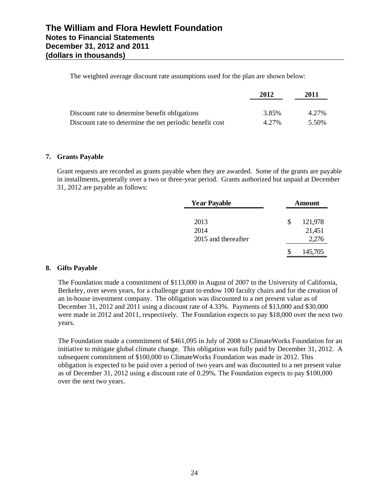The weighted average discount rate assumptions used for the plan are shown below:

|                                                          | 2012  | 2011  |
|----------------------------------------------------------|-------|-------|
| Discount rate to determine benefit obligations           | 3.85% | 4.27% |
| Discount rate to determine the net periodic benefit cost | 4.27% | 5.50% |

## **7. Grants Payable**

Grant requests are recorded as grants payable when they are awarded. Some of the grants are payable in installments, generally over a two or three-year period. Grants authorized but unpaid at December 31, 2012 are payable as follows:

| <b>Year Payable</b> |   | Amount  |
|---------------------|---|---------|
| 2013                | S | 121,978 |
| 2014                |   | 21,451  |
| 2015 and thereafter |   | 2,276   |
|                     |   | 145,705 |

## **8. Gifts Payable**

The Foundation made a commitment of \$113,000 in August of 2007 to the University of California, Berkeley, over seven years, for a challenge grant to endow 100 faculty chairs and for the creation of an in-house investment company. The obligation was discounted to a net present value as of December 31, 2012 and 2011 using a discount rate of 4.33%. Payments of \$13,000 and \$30,000 were made in 2012 and 2011, respectively. The Foundation expects to pay \$18,000 over the next two years.

The Foundation made a commitment of \$461,095 in July of 2008 to ClimateWorks Foundation for an initiative to mitigate global climate change. This obligation was fully paid by December 31, 2012. A subsequent commitment of \$100,000 to ClimateWorks Foundation was made in 2012. This obligation is expected to be paid over a period of two years and was discounted to a net present value as of December 31, 2012 using a discount rate of 0.29%. The Foundation expects to pay \$100,000 over the next two years.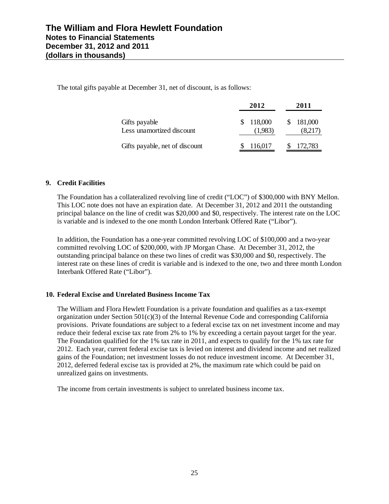The total gifts payable at December 31, net of discount, is as follows:

|                                            | 2012               | 2011                 |
|--------------------------------------------|--------------------|----------------------|
| Gifts payable<br>Less unamortized discount | 118,000<br>(1,983) | \$181,000<br>(8,217) |
| Gifts payable, net of discount             | 116,017            | 172,783              |

## **9. Credit Facilities**

The Foundation has a collateralized revolving line of credit ("LOC") of \$300,000 with BNY Mellon. This LOC note does not have an expiration date. At December 31, 2012 and 2011 the outstanding principal balance on the line of credit was \$20,000 and \$0, respectively. The interest rate on the LOC is variable and is indexed to the one month London Interbank Offered Rate ("Libor").

In addition, the Foundation has a one-year committed revolving LOC of \$100,000 and a two-year committed revolving LOC of \$200,000, with JP Morgan Chase. At December 31, 2012, the outstanding principal balance on these two lines of credit was \$30,000 and \$0, respectively. The interest rate on these lines of credit is variable and is indexed to the one, two and three month London Interbank Offered Rate ("Libor").

## **10. Federal Excise and Unrelated Business Income Tax**

The William and Flora Hewlett Foundation is a private foundation and qualifies as a tax-exempt organization under Section  $501(c)(3)$  of the Internal Revenue Code and corresponding California provisions. Private foundations are subject to a federal excise tax on net investment income and may reduce their federal excise tax rate from 2% to 1% by exceeding a certain payout target for the year. The Foundation qualified for the 1% tax rate in 2011, and expects to qualify for the 1% tax rate for 2012. Each year, current federal excise tax is levied on interest and dividend income and net realized gains of the Foundation; net investment losses do not reduce investment income. At December 31, 2012, deferred federal excise tax is provided at 2%, the maximum rate which could be paid on unrealized gains on investments.

The income from certain investments is subject to unrelated business income tax.